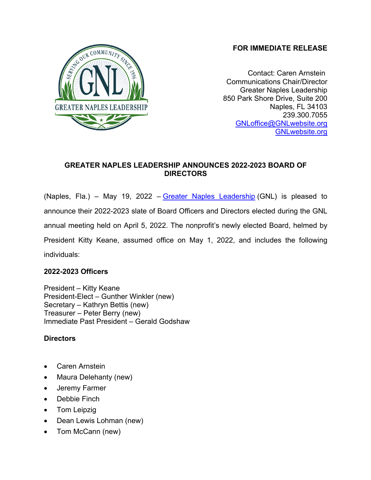# **FOR IMMEDIATE RELEASE**



Contact: Caren Arnstein Communications Chair/Director Greater Naples Leadership 850 Park Shore Drive, Suite 200 Naples, FL 34103 239.300.7055 GNLoffice@GNLwebsite.org GNLwebsite.org

# **GREATER NAPLES LEADERSHIP ANNOUNCES 2022-2023 BOARD OF DIRECTORS**

(Naples, Fla.) – May 19, 2022 – Greater Naples Leadership (GNL) is pleased to announce their 2022-2023 slate of Board Officers and Directors elected during the GNL annual meeting held on April 5, 2022. The nonprofit's newly elected Board, helmed by President Kitty Keane, assumed office on May 1, 2022, and includes the following individuals:

### **2022-2023 Officers**

President – Kitty Keane President-Elect – Gunther Winkler (new) Secretary – Kathryn Bettis (new) Treasurer – Peter Berry (new) Immediate Past President – Gerald Godshaw

# **Directors**

- Caren Arnstein
- Maura Delehanty (new)
- Jeremy Farmer
- Debbie Finch
- Tom Leipzig
- Dean Lewis Lohman (new)
- Tom McCann (new)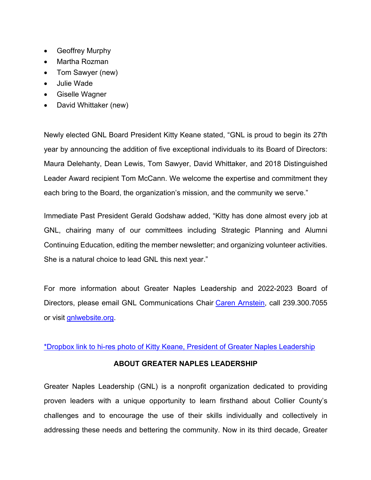- Geoffrey Murphy
- Martha Rozman
- Tom Sawyer (new)
- Julie Wade
- Giselle Wagner
- David Whittaker (new)

Newly elected GNL Board President Kitty Keane stated, "GNL is proud to begin its 27th year by announcing the addition of five exceptional individuals to its Board of Directors: Maura Delehanty, Dean Lewis, Tom Sawyer, David Whittaker, and 2018 Distinguished Leader Award recipient Tom McCann. We welcome the expertise and commitment they each bring to the Board, the organization's mission, and the community we serve."

Immediate Past President Gerald Godshaw added, "Kitty has done almost every job at GNL, chairing many of our committees including Strategic Planning and Alumni Continuing Education, editing the member newsletter; and organizing volunteer activities. She is a natural choice to lead GNL this next year."

For more information about Greater Naples Leadership and 2022-2023 Board of Directors, please email GNL Communications Chair Caren Arnstein, call 239.300.7055 or visit gnlwebsite.org.

### \*Dropbox link to hi-res photo of Kitty Keane, President of Greater Naples Leadership

### **ABOUT GREATER NAPLES LEADERSHIP**

Greater Naples Leadership (GNL) is a nonprofit organization dedicated to providing proven leaders with a unique opportunity to learn firsthand about Collier County's challenges and to encourage the use of their skills individually and collectively in addressing these needs and bettering the community. Now in its third decade, Greater